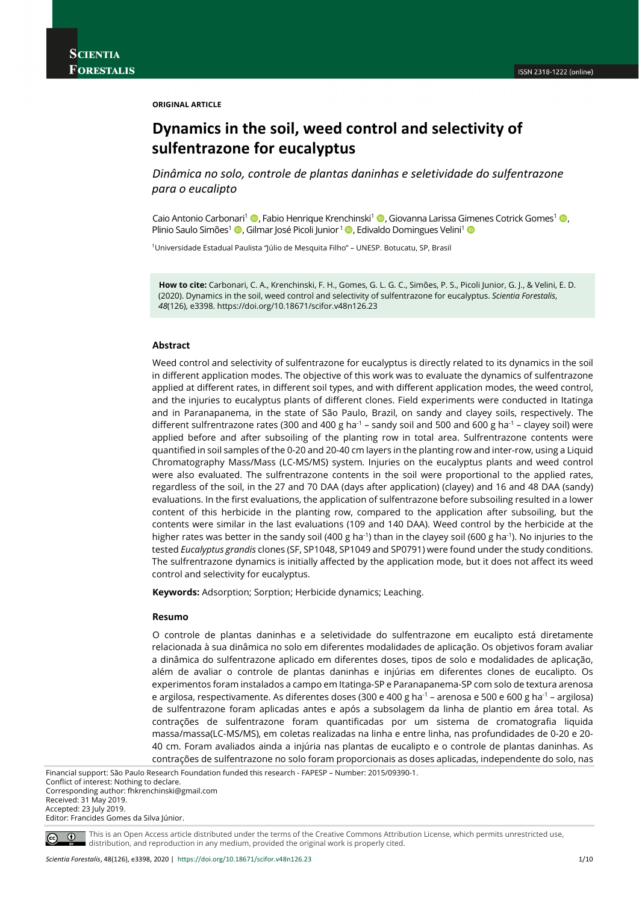**ORIGINAL ARTICLE**

# **Dynamics in the soil, weed control and selectivity of sulfentrazone for eucalyptus**

*Dinâmica no solo, controle de plantas daninhas e seletividade do sulfentrazone para o eucalipto*

Caio Antonio Carbonari<sup>1</sup> (**D**, Fabio Henrique Krenchinski<sup>1</sup> (**D**, Giovanna Larissa Gimenes Cotrick Gomes<sup>1</sup> (**D**, Plinio Saulo Simões<sup>1</sup> (D. Gilmar José Picoli Junior<sup>1</sup> (D. Edivaldo Domingues Velini<sup>1</sup> (D.

1Universidade Estadual Paulista "Júlio de Mesquita Filho" – UNESP. Botucatu, SP, Brasil

**How to cite:** Carbonari, C. A., Krenchinski, F. H., Gomes, G. L. G. C., Simões, P. S., Picoli Junior, G. J., & Velini, E. D. (2020). Dynamics in the soil, weed control and selectivity of sulfentrazone for eucalyptus. *Scientia Forestalis*, *48*(126), e3398. https://doi.org/10.18671/scifor.v48n126.23

# **Abstract**

Weed control and selectivity of sulfentrazone for eucalyptus is directly related to its dynamics in the soil in different application modes. The objective of this work was to evaluate the dynamics of sulfentrazone applied at different rates, in different soil types, and with different application modes, the weed control, and the injuries to eucalyptus plants of different clones. Field experiments were conducted in Itatinga and in Paranapanema, in the state of São Paulo, Brazil, on sandy and clayey soils, respectively. The different sulfrentrazone rates (300 and 400 g ha<sup>-1</sup> – sandy soil and 500 and 600 g ha<sup>-1</sup> – clayey soil) were applied before and after subsoiling of the planting row in total area. Sulfrentrazone contents were quantified in soil samples of the 0-20 and 20-40 cm layers in the planting row and inter-row, using a Liquid Chromatography Mass/Mass (LC-MS/MS) system. Injuries on the eucalyptus plants and weed control were also evaluated. The sulfrentrazone contents in the soil were proportional to the applied rates, regardless of the soil, in the 27 and 70 DAA (days after application) (clayey) and 16 and 48 DAA (sandy) evaluations. In the first evaluations, the application of sulfentrazone before subsoiling resulted in a lower content of this herbicide in the planting row, compared to the application after subsoiling, but the contents were similar in the last evaluations (109 and 140 DAA). Weed control by the herbicide at the higher rates was better in the sandy soil (400 g ha<sup>-1</sup>) than in the clayey soil (600 g ha<sup>-1</sup>). No injuries to the tested *Eucalyptus grandis* clones (SF, SP1048, SP1049 and SP0791) were found under the study conditions. The sulfrentrazone dynamics is initially affected by the application mode, but it does not affect its weed control and selectivity for eucalyptus.

**Keywords:** Adsorption; Sorption; Herbicide dynamics; Leaching.

#### **Resumo**

O controle de plantas daninhas e a seletividade do sulfentrazone em eucalipto está diretamente relacionada à sua dinâmica no solo em diferentes modalidades de aplicação. Os objetivos foram avaliar a dinâmica do sulfentrazone aplicado em diferentes doses, tipos de solo e modalidades de aplicação, além de avaliar o controle de plantas daninhas e injúrias em diferentes clones de eucalipto. Os experimentos foram instalados a campo em Itatinga-SP e Paranapanema-SP com solo de textura arenosa e argilosa, respectivamente. As diferentes doses (300 e 400 g ha<sup>-1</sup> – arenosa e 500 e 600 g ha<sup>-1</sup> – argilosa) de sulfentrazone foram aplicadas antes e após a subsolagem da linha de plantio em área total. As contrações de sulfentrazone foram quantificadas por um sistema de cromatografia liquida massa/massa(LC-MS/MS), em coletas realizadas na linha e entre linha, nas profundidades de 0-20 e 20- 40 cm. Foram avaliados ainda a injúria nas plantas de eucalipto e o controle de plantas daninhas. As contrações de sulfentrazone no solo foram proporcionais as doses aplicadas, independente do solo, nas

Financial support: São Paulo Research Foundation funded this research - FAPESP – Number: 2015/09390-1.

Conflict of interest: Nothing to declare. Corresponding author: fhkrenchinski@gmail.com Received: 31 May 2019. Accepted: 23 July 2019.

Editor: Francides Gomes da Silva Júnior.



This is an Open Access article distributed under the terms of the Creative Commons Attribution License, which permits unrestricted use, distribution, and reproduction in any medium, provided the original work is properly cited.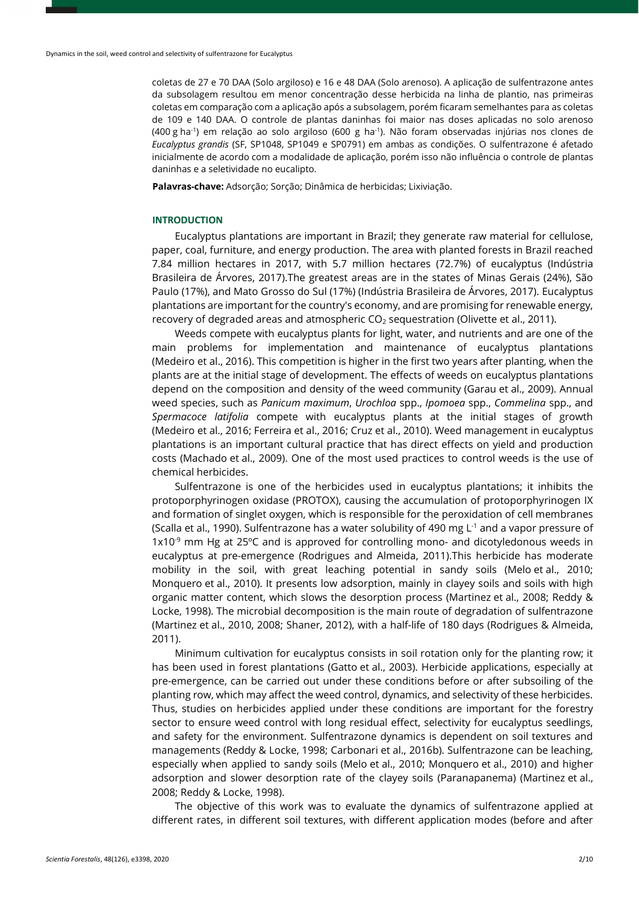coletas de 27 e 70 DAA (Solo argiloso) e 16 e 48 DAA (Solo arenoso). A aplicação de sulfentrazone antes da subsolagem resultou em menor concentração desse herbicida na linha de plantio, nas primeiras coletas em comparação com a aplicação após a subsolagem, porém ficaram semelhantes para as coletas de 109 e 140 DAA. O controle de plantas daninhas foi maior nas doses aplicadas no solo arenoso (400 g ha-1) em relação ao solo argiloso (600 g ha-1). Não foram observadas injúrias nos clones de *Eucalyptus grandis* (SF, SP1048, SP1049 e SP0791) em ambas as condições. O sulfentrazone é afetado inicialmente de acordo com a modalidade de aplicação, porém isso não influência o controle de plantas daninhas e a seletividade no eucalipto.

**Palavras-chave:** Adsorção; Sorção; Dinâmica de herbicidas; Lixiviação.

# **INTRODUCTION**

Eucalyptus plantations are important in Brazil; they generate raw material for cellulose, paper, coal, furniture, and energy production. The area with planted forests in Brazil reached 7.84 million hectares in 2017, with 5.7 million hectares (72.7%) of eucalyptus (Indústria Brasileira de Árvores, 2017).The greatest areas are in the states of Minas Gerais (24%), São Paulo (17%), and Mato Grosso do Sul (17%) (Indústria Brasileira de Árvores, 2017). Eucalyptus plantations are important for the country's economy, and are promising for renewable energy, recovery of degraded areas and atmospheric  $CO<sub>2</sub>$  sequestration (Olivette et al., 2011).

Weeds compete with eucalyptus plants for light, water, and nutrients and are one of the main problems for implementation and maintenance of eucalyptus plantations (Medeiro et al., 2016). This competition is higher in the first two years after planting, when the plants are at the initial stage of development. The effects of weeds on eucalyptus plantations depend on the composition and density of the weed community (Garau et al., 2009). Annual weed species, such as *Panicum maximum*, *Urochloa* spp., *Ipomoea* spp., *Commelina* spp., and *Spermacoce latifolia* compete with eucalyptus plants at the initial stages of growth (Medeiro et al., 2016; Ferreira et al., 2016; Cruz et al., 2010). Weed management in eucalyptus plantations is an important cultural practice that has direct effects on yield and production costs (Machado et al., 2009). One of the most used practices to control weeds is the use of chemical herbicides.

Sulfentrazone is one of the herbicides used in eucalyptus plantations; it inhibits the protoporphyrinogen oxidase (PROTOX), causing the accumulation of protoporphyrinogen IX and formation of singlet oxygen, which is responsible for the peroxidation of cell membranes (Scalla et al., 1990). Sulfentrazone has a water solubility of 490 mg  $L^1$  and a vapor pressure of  $1x10^{-9}$  mm Hg at 25 $^{\circ}$ C and is approved for controlling mono- and dicotyledonous weeds in eucalyptus at pre-emergence (Rodrigues and Almeida, 2011).This herbicide has moderate mobility in the soil, with great leaching potential in sandy soils (Melo et al., 2010; Monquero et al., 2010). It presents low adsorption, mainly in clayey soils and soils with high organic matter content, which slows the desorption process (Martinez et al., 2008; Reddy & Locke, 1998). The microbial decomposition is the main route of degradation of sulfentrazone (Martinez et al., 2010, 2008; Shaner, 2012), with a half-life of 180 days (Rodrigues & Almeida, 2011).

Minimum cultivation for eucalyptus consists in soil rotation only for the planting row; it has been used in forest plantations (Gatto et al., 2003). Herbicide applications, especially at pre-emergence, can be carried out under these conditions before or after subsoiling of the planting row, which may affect the weed control, dynamics, and selectivity of these herbicides. Thus, studies on herbicides applied under these conditions are important for the forestry sector to ensure weed control with long residual effect, selectivity for eucalyptus seedlings, and safety for the environment. Sulfentrazone dynamics is dependent on soil textures and managements (Reddy & Locke, 1998; Carbonari et al., 2016b). Sulfentrazone can be leaching, especially when applied to sandy soils (Melo et al., 2010; Monquero et al., 2010) and higher adsorption and slower desorption rate of the clayey soils (Paranapanema) (Martinez et al., 2008; Reddy & Locke, 1998).

The objective of this work was to evaluate the dynamics of sulfentrazone applied at different rates, in different soil textures, with different application modes (before and after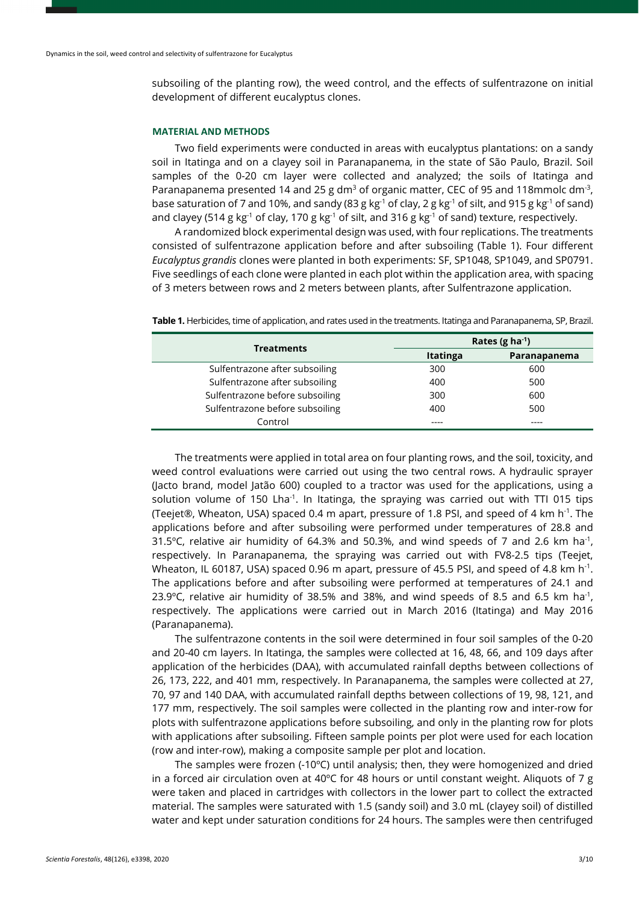subsoiling of the planting row), the weed control, and the effects of sulfentrazone on initial development of different eucalyptus clones.

#### **MATERIAL AND METHODS**

Two field experiments were conducted in areas with eucalyptus plantations: on a sandy soil in Itatinga and on a clayey soil in Paranapanema, in the state of São Paulo, Brazil. Soil samples of the 0-20 cm layer were collected and analyzed; the soils of Itatinga and Paranapanema presented 14 and 25 g dm<sup>3</sup> of organic matter, CEC of 95 and 118mmolc dm<sup>-3</sup>, base saturation of 7 and 10%, and sandy (83 g kg<sup>-1</sup> of clay, 2 g kg<sup>-1</sup> of silt, and 915 g kg<sup>-1</sup> of sand) and clayey (514 g kg<sup>-1</sup> of clay, 170 g kg<sup>-1</sup> of silt, and 316 g kg<sup>-1</sup> of sand) texture, respectively.

A randomized block experimental design was used, with four replications. The treatments consisted of sulfentrazone application before and after subsoiling (Table 1). Four different *Eucalyptus grandis* clones were planted in both experiments: SF, SP1048, SP1049, and SP0791. Five seedlings of each clone were planted in each plot within the application area, with spacing of 3 meters between rows and 2 meters between plants, after Sulfentrazone application.

| <b>Treatments</b>               | Rates (g ha $^{-1}$ ) |              |
|---------------------------------|-----------------------|--------------|
|                                 | <b>Itatinga</b>       | Paranapanema |
| Sulfentrazone after subsoiling  | 300                   | 600          |
| Sulfentrazone after subsoiling  | 400                   | 500          |
| Sulfentrazone before subsoiling | 300                   | 600          |
| Sulfentrazone before subsoiling | 400                   | 500          |
| Control                         |                       |              |

**Table 1.** Herbicides, time of application, and rates used in the treatments. Itatinga and Paranapanema, SP, Brazil.

The treatments were applied in total area on four planting rows, and the soil, toxicity, and weed control evaluations were carried out using the two central rows. A hydraulic sprayer (Jacto brand, model Jatão 600) coupled to a tractor was used for the applications, using a solution volume of 150 Lha<sup>-1</sup>. In Itatinga, the spraying was carried out with TTI 015 tips (Teejet®, Wheaton, USA) spaced 0.4 m apart, pressure of 1.8 PSI, and speed of 4 km h-1. The applications before and after subsoiling were performed under temperatures of 28.8 and 31.5 $^{\circ}$ C, relative air humidity of 64.3% and 50.3%, and wind speeds of 7 and 2.6 km ha<sup>-1</sup>, respectively. In Paranapanema, the spraying was carried out with FV8-2.5 tips (Teejet, Wheaton, IL 60187, USA) spaced 0.96 m apart, pressure of 45.5 PSI, and speed of 4.8 km h<sup>-1</sup>. The applications before and after subsoiling were performed at temperatures of 24.1 and 23.9 $^{\circ}$ C, relative air humidity of 38.5% and 38%, and wind speeds of 8.5 and 6.5 km ha<sup>-1</sup>, respectively. The applications were carried out in March 2016 (Itatinga) and May 2016 (Paranapanema).

The sulfentrazone contents in the soil were determined in four soil samples of the 0-20 and 20-40 cm layers. In Itatinga, the samples were collected at 16, 48, 66, and 109 days after application of the herbicides (DAA), with accumulated rainfall depths between collections of 26, 173, 222, and 401 mm, respectively. In Paranapanema, the samples were collected at 27, 70, 97 and 140 DAA, with accumulated rainfall depths between collections of 19, 98, 121, and 177 mm, respectively. The soil samples were collected in the planting row and inter-row for plots with sulfentrazone applications before subsoiling, and only in the planting row for plots with applications after subsoiling. Fifteen sample points per plot were used for each location (row and inter-row), making a composite sample per plot and location.

The samples were frozen  $(-10^{\circ}C)$  until analysis; then, they were homogenized and dried in a forced air circulation oven at  $40^{\circ}$ C for 48 hours or until constant weight. Aliquots of 7 g were taken and placed in cartridges with collectors in the lower part to collect the extracted material. The samples were saturated with 1.5 (sandy soil) and 3.0 mL (clayey soil) of distilled water and kept under saturation conditions for 24 hours. The samples were then centrifuged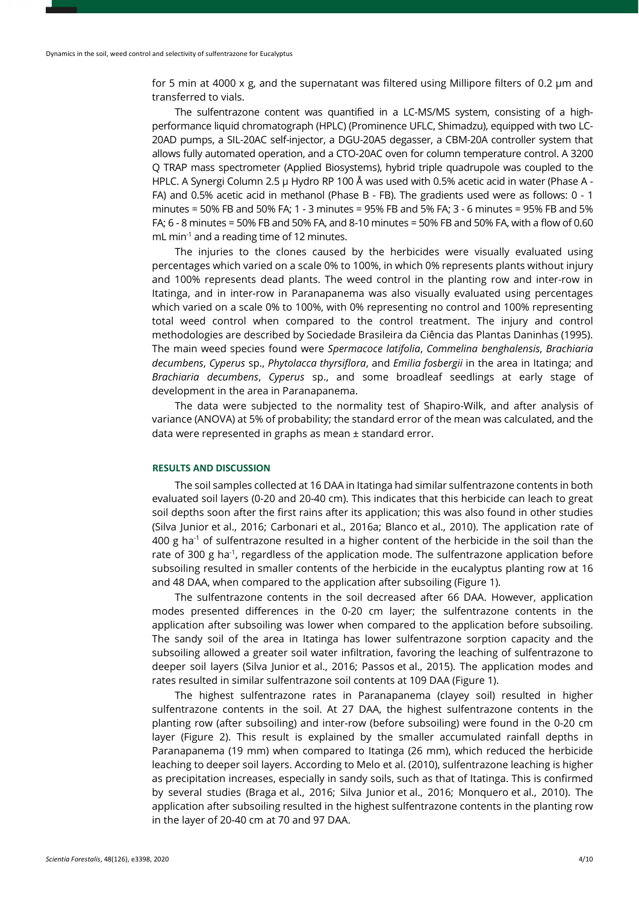for 5 min at 4000 x g, and the supernatant was filtered using Millipore filters of 0.2 μm and transferred to vials.

The sulfentrazone content was quantified in a LC-MS/MS system, consisting of a highperformance liquid chromatograph (HPLC) (Prominence UFLC, Shimadzu), equipped with two LC-20AD pumps, a SIL-20AC self-injector, a DGU-20A5 degasser, a CBM-20A controller system that allows fully automated operation, and a CTO-20AC oven for column temperature control. A 3200 Q TRAP mass spectrometer (Applied Biosystems), hybrid triple quadrupole was coupled to the HPLC. A Synergi Column 2.5 μ Hydro RP 100 Å was used with 0.5% acetic acid in water (Phase A - FA) and 0.5% acetic acid in methanol (Phase B - FB). The gradients used were as follows: 0 - 1 minutes = 50% FB and 50% FA; 1 - 3 minutes = 95% FB and 5% FA; 3 - 6 minutes = 95% FB and 5% FA; 6 - 8 minutes = 50% FB and 50% FA, and 8-10 minutes = 50% FB and 50% FA, with a flow of 0.60 mL min<sup>-1</sup> and a reading time of 12 minutes.

The injuries to the clones caused by the herbicides were visually evaluated using percentages which varied on a scale 0% to 100%, in which 0% represents plants without injury and 100% represents dead plants. The weed control in the planting row and inter-row in Itatinga, and in inter-row in Paranapanema was also visually evaluated using percentages which varied on a scale 0% to 100%, with 0% representing no control and 100% representing total weed control when compared to the control treatment. The injury and control methodologies are described by Sociedade Brasileira da Ciência das Plantas Daninhas (1995). The main weed species found were *Spermacoce latifolia*, *Commelina benghalensis*, *Brachiaria decumbens*, *Cyperus* sp., *Phytolacca thyrsiflora*, and *Emilia fosbergii* in the area in Itatinga; and *Brachiaria decumbens*, *Cyperus* sp., and some broadleaf seedlings at early stage of development in the area in Paranapanema.

The data were subjected to the normality test of Shapiro-Wilk, and after analysis of variance (ANOVA) at 5% of probability; the standard error of the mean was calculated, and the data were represented in graphs as mean ± standard error.

# **RESULTS AND DISCUSSION**

The soil samples collected at 16 DAA in Itatinga had similar sulfentrazone contents in both evaluated soil layers (0-20 and 20-40 cm). This indicates that this herbicide can leach to great soil depths soon after the first rains after its application; this was also found in other studies (Silva Junior et al., 2016; Carbonari et al., 2016a; Blanco et al., 2010). The application rate of 400 g ha<sup>-1</sup> of sulfentrazone resulted in a higher content of the herbicide in the soil than the rate of 300 g ha<sup>-1</sup>, regardless of the application mode. The sulfentrazone application before subsoiling resulted in smaller contents of the herbicide in the eucalyptus planting row at 16 and 48 DAA, when compared to the application after subsoiling (Figure 1).

The sulfentrazone contents in the soil decreased after 66 DAA. However, application modes presented differences in the 0-20 cm layer; the sulfentrazone contents in the application after subsoiling was lower when compared to the application before subsoiling. The sandy soil of the area in Itatinga has lower sulfentrazone sorption capacity and the subsoiling allowed a greater soil water infiltration, favoring the leaching of sulfentrazone to deeper soil layers (Silva Junior et al., 2016; Passos et al., 2015). The application modes and rates resulted in similar sulfentrazone soil contents at 109 DAA (Figure 1).

The highest sulfentrazone rates in Paranapanema (clayey soil) resulted in higher sulfentrazone contents in the soil. At 27 DAA, the highest sulfentrazone contents in the planting row (after subsoiling) and inter-row (before subsoiling) were found in the 0-20 cm layer (Figure 2). This result is explained by the smaller accumulated rainfall depths in Paranapanema (19 mm) when compared to Itatinga (26 mm), which reduced the herbicide leaching to deeper soil layers. According to Melo et al. (2010), sulfentrazone leaching is higher as precipitation increases, especially in sandy soils, such as that of Itatinga. This is confirmed by several studies (Braga et al., 2016; Silva Junior et al., 2016; Monquero et al., 2010). The application after subsoiling resulted in the highest sulfentrazone contents in the planting row in the layer of 20-40 cm at 70 and 97 DAA.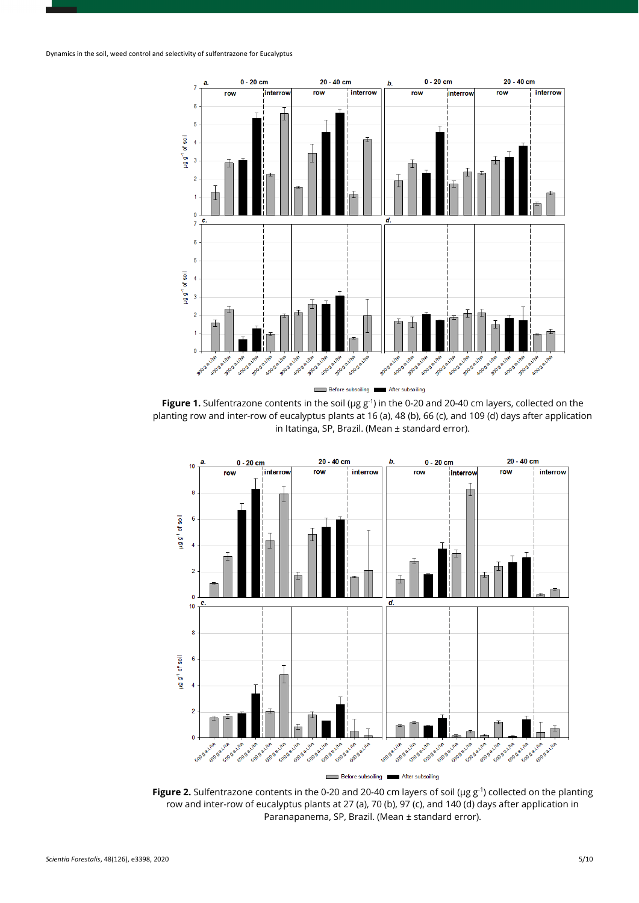

**Figure 1.** Sulfentrazone contents in the soil (μg g-1) in the 0-20 and 20-40 cm layers, collected on the planting row and inter-row of eucalyptus plants at 16 (a), 48 (b), 66 (c), and 109 (d) days after application in Itatinga, SP, Brazil. (Mean ± standard error).



**Figure 2.** Sulfentrazone contents in the 0-20 and 20-40 cm layers of soil (μg g<sup>-1</sup>) collected on the planting row and inter-row of eucalyptus plants at 27 (a), 70 (b), 97 (c), and 140 (d) days after application in Paranapanema, SP, Brazil. (Mean ± standard error).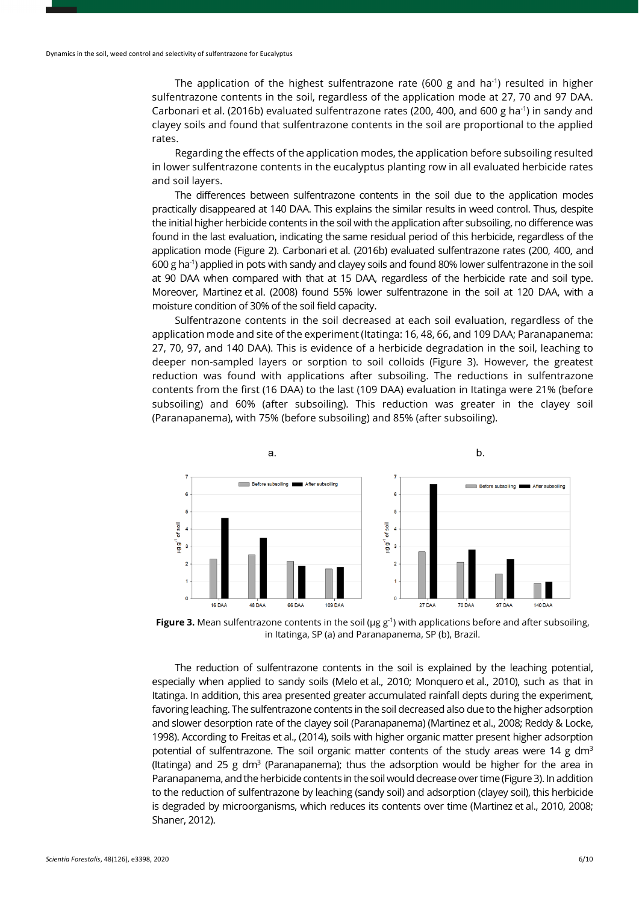The application of the highest sulfentrazone rate (600 g and ha<sup>-1</sup>) resulted in higher sulfentrazone contents in the soil, regardless of the application mode at 27, 70 and 97 DAA. Carbonari et al. (2016b) evaluated sulfentrazone rates (200, 400, and 600 g ha<sup>-1</sup>) in sandy and clayey soils and found that sulfentrazone contents in the soil are proportional to the applied rates.

Regarding the effects of the application modes, the application before subsoiling resulted in lower sulfentrazone contents in the eucalyptus planting row in all evaluated herbicide rates and soil layers.

The differences between sulfentrazone contents in the soil due to the application modes practically disappeared at 140 DAA. This explains the similar results in weed control. Thus, despite the initial higher herbicide contents in the soil with the application after subsoiling, no difference was found in the last evaluation, indicating the same residual period of this herbicide, regardless of the application mode (Figure 2). Carbonari et al. (2016b) evaluated sulfentrazone rates (200, 400, and 600 g ha-1 ) applied in pots with sandy and clayey soils and found 80% lower sulfentrazone in the soil at 90 DAA when compared with that at 15 DAA, regardless of the herbicide rate and soil type. Moreover, Martinez et al. (2008) found 55% lower sulfentrazone in the soil at 120 DAA, with a moisture condition of 30% of the soil field capacity.

Sulfentrazone contents in the soil decreased at each soil evaluation, regardless of the application mode and site of the experiment (Itatinga: 16, 48, 66, and 109 DAA; Paranapanema: 27, 70, 97, and 140 DAA). This is evidence of a herbicide degradation in the soil, leaching to deeper non-sampled layers or sorption to soil colloids (Figure 3). However, the greatest reduction was found with applications after subsoiling. The reductions in sulfentrazone contents from the first (16 DAA) to the last (109 DAA) evaluation in Itatinga were 21% (before subsoiling) and 60% (after subsoiling). This reduction was greater in the clayey soil (Paranapanema), with 75% (before subsoiling) and 85% (after subsoiling).



**Figure 3.** Mean sulfentrazone contents in the soil (μg g<sup>-1</sup>) with applications before and after subsoiling, in Itatinga, SP (a) and Paranapanema, SP (b), Brazil.

The reduction of sulfentrazone contents in the soil is explained by the leaching potential, especially when applied to sandy soils (Melo et al., 2010; Monquero et al., 2010), such as that in Itatinga. In addition, this area presented greater accumulated rainfall depts during the experiment, favoring leaching. The sulfentrazone contents in the soil decreased also due to the higher adsorption and slower desorption rate of the clayey soil (Paranapanema) (Martinez et al., 2008; Reddy & Locke, 1998). According to Freitas et al., (2014), soils with higher organic matter present higher adsorption potential of sulfentrazone. The soil organic matter contents of the study areas were 14 g dm<sup>3</sup> (Itatinga) and 25 g dm<sup>3</sup> (Paranapanema); thus the adsorption would be higher for the area in Paranapanema, and the herbicide contents in the soil would decrease over time (Figure 3). In addition to the reduction of sulfentrazone by leaching (sandy soil) and adsorption (clayey soil), this herbicide is degraded by microorganisms, which reduces its contents over time (Martinez et al., 2010, 2008; Shaner, 2012).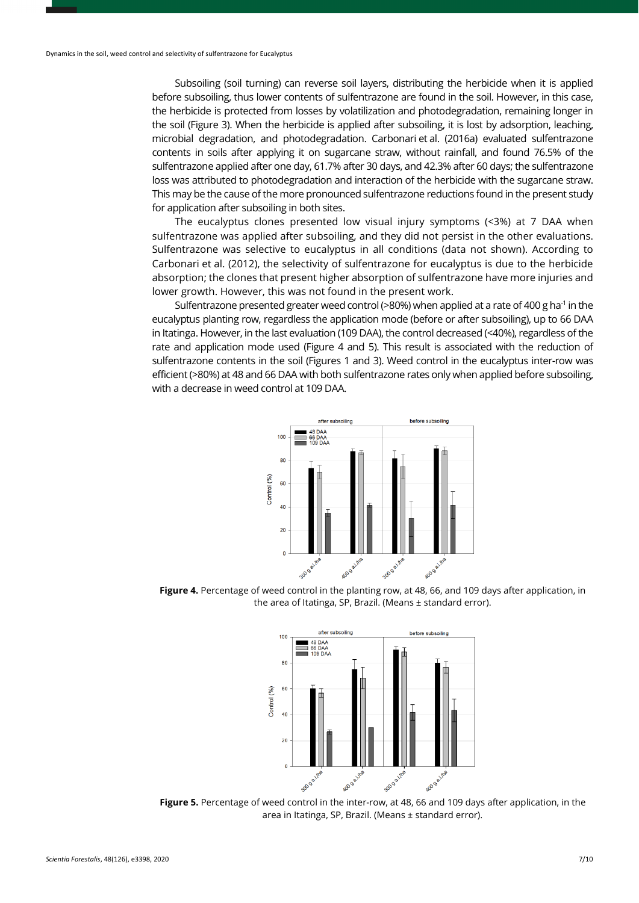Subsoiling (soil turning) can reverse soil layers, distributing the herbicide when it is applied before subsoiling, thus lower contents of sulfentrazone are found in the soil. However, in this case, the herbicide is protected from losses by volatilization and photodegradation, remaining longer in the soil (Figure 3). When the herbicide is applied after subsoiling, it is lost by adsorption, leaching, microbial degradation, and photodegradation. Carbonari et al. (2016a) evaluated sulfentrazone contents in soils after applying it on sugarcane straw, without rainfall, and found 76.5% of the sulfentrazone applied after one day, 61.7% after 30 days, and 42.3% after 60 days; the sulfentrazone loss was attributed to photodegradation and interaction of the herbicide with the sugarcane straw. This may be the cause of the more pronounced sulfentrazone reductions found in the present study for application after subsoiling in both sites.

The eucalyptus clones presented low visual injury symptoms (<3%) at 7 DAA when sulfentrazone was applied after subsoiling, and they did not persist in the other evaluations. Sulfentrazone was selective to eucalyptus in all conditions (data not shown). According to Carbonari et al. (2012), the selectivity of sulfentrazone for eucalyptus is due to the herbicide absorption; the clones that present higher absorption of sulfentrazone have more injuries and lower growth. However, this was not found in the present work.

Sulfentrazone presented greater weed control (>80%) when applied at a rate of 400 g ha<sup>-1</sup> in the eucalyptus planting row, regardless the application mode (before or after subsoiling), up to 66 DAA in Itatinga. However, in the last evaluation (109 DAA), the control decreased (<40%), regardless of the rate and application mode used (Figure 4 and 5). This result is associated with the reduction of sulfentrazone contents in the soil (Figures 1 and 3). Weed control in the eucalyptus inter-row was efficient (>80%) at 48 and 66 DAA with both sulfentrazone rates only when applied before subsoiling, with a decrease in weed control at 109 DAA.



Figure 4. Percentage of weed control in the planting row, at 48, 66, and 109 days after application, in the area of Itatinga, SP, Brazil. (Means ± standard error).



**Figure 5.** Percentage of weed control in the inter-row, at 48, 66 and 109 days after application, in the area in Itatinga, SP, Brazil. (Means ± standard error).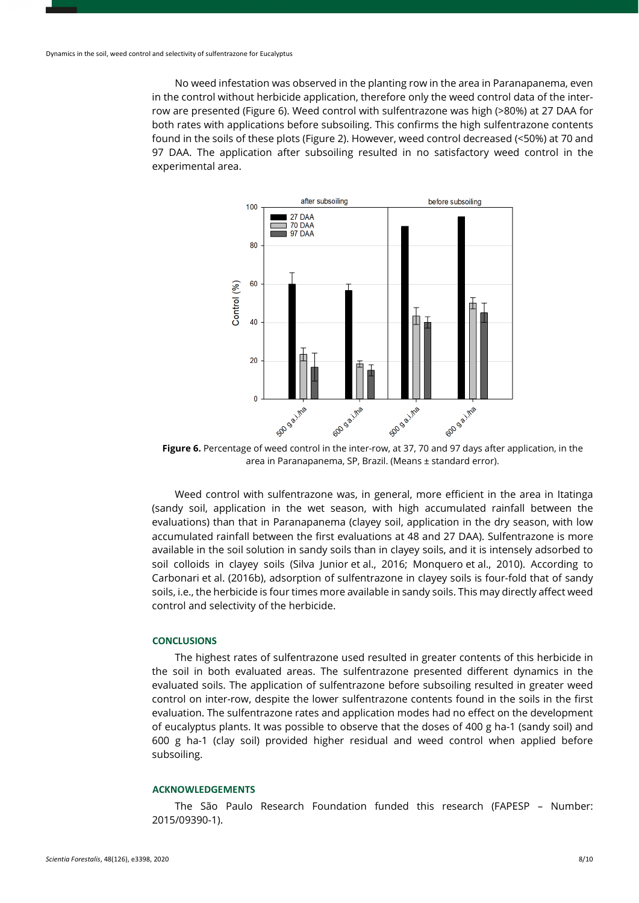No weed infestation was observed in the planting row in the area in Paranapanema, even in the control without herbicide application, therefore only the weed control data of the interrow are presented (Figure 6). Weed control with sulfentrazone was high (>80%) at 27 DAA for both rates with applications before subsoiling. This confirms the high sulfentrazone contents found in the soils of these plots (Figure 2). However, weed control decreased (<50%) at 70 and 97 DAA. The application after subsoiling resulted in no satisfactory weed control in the experimental area.



**Figure 6.** Percentage of weed control in the inter-row, at 37, 70 and 97 days after application, in the area in Paranapanema, SP, Brazil. (Means ± standard error).

Weed control with sulfentrazone was, in general, more efficient in the area in Itatinga (sandy soil, application in the wet season, with high accumulated rainfall between the evaluations) than that in Paranapanema (clayey soil, application in the dry season, with low accumulated rainfall between the first evaluations at 48 and 27 DAA). Sulfentrazone is more available in the soil solution in sandy soils than in clayey soils, and it is intensely adsorbed to soil colloids in clayey soils (Silva Junior et al., 2016; Monquero et al., 2010). According to Carbonari et al. (2016b), adsorption of sulfentrazone in clayey soils is four-fold that of sandy soils, i.e., the herbicide is four times more available in sandy soils. This may directly affect weed control and selectivity of the herbicide.

### **CONCLUSIONS**

The highest rates of sulfentrazone used resulted in greater contents of this herbicide in the soil in both evaluated areas. The sulfentrazone presented different dynamics in the evaluated soils. The application of sulfentrazone before subsoiling resulted in greater weed control on inter-row, despite the lower sulfentrazone contents found in the soils in the first evaluation. The sulfentrazone rates and application modes had no effect on the development of eucalyptus plants. It was possible to observe that the doses of 400 g ha-1 (sandy soil) and 600 g ha-1 (clay soil) provided higher residual and weed control when applied before subsoiling.

#### **ACKNOWLEDGEMENTS**

The São Paulo Research Foundation funded this research (FAPESP – Number: 2015/09390-1).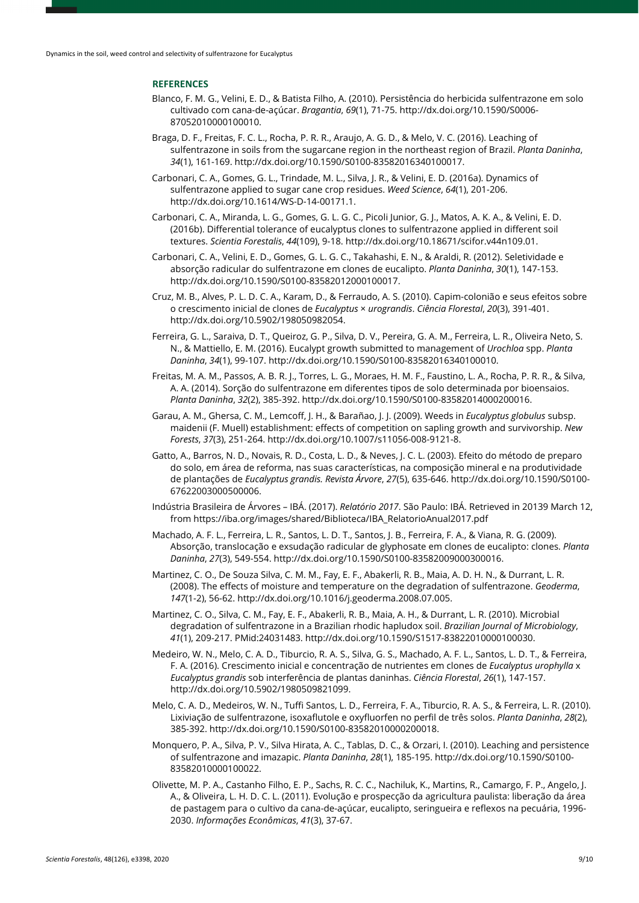# **REFERENCES**

- Blanco, F. M. G., Velini, E. D., & Batista Filho, A. (2010). Persistência do herbicida sulfentrazone em solo cultivado com cana-de-açúcar. *Bragantia*, *69*(1), 71-75[. http://dx.doi.org/10.1590/S0006-](https://doi.org/10.1590/S0006-87052010000100010) [87052010000100010.](https://doi.org/10.1590/S0006-87052010000100010)
- Braga, D. F., Freitas, F. C. L., Rocha, P. R. R., Araujo, A. G. D., & Melo, V. C. (2016). Leaching of sulfentrazone in soils from the sugarcane region in the northeast region of Brazil. *Planta Daninha*, *34*(1), 161-169[. http://dx.doi.org/10.1590/S0100-83582016340100017.](https://doi.org/10.1590/S0100-83582016340100017)
- Carbonari, C. A., Gomes, G. L., Trindade, M. L., Silva, J. R., & Velini, E. D. (2016a). Dynamics of sulfentrazone applied to sugar cane crop residues. *Weed Science*, *64*(1), 201-206. [http://dx.doi.org/10.1614/WS-D-14-00171.1.](https://doi.org/10.1614/WS-D-14-00171.1)
- Carbonari, C. A., Miranda, L. G., Gomes, G. L. G. C., Picoli Junior, G. J., Matos, A. K. A., & Velini, E. D. (2016b). Differential tolerance of eucalyptus clones to sulfentrazone applied in different soil textures. *Scientia Forestalis*, *44*(109), 9-18. [http://dx.doi.org/10.18671/scifor.v44n109.01.](https://doi.org/10.18671/scifor.v44n109.01)
- Carbonari, C. A., Velini, E. D., Gomes, G. L. G. C., Takahashi, E. N., & Araldi, R. (2012). Seletividade e absorção radicular do sulfentrazone em clones de eucalipto. *Planta Daninha*, *30*(1), 147-153. [http://dx.doi.org/10.1590/S0100-83582012000100017.](https://doi.org/10.1590/S0100-83582012000100017)
- Cruz, M. B., Alves, P. L. D. C. A., Karam, D., & Ferraudo, A. S. (2010). Capim-colonião e seus efeitos sobre o crescimento inicial de clones de *Eucalyptus* × *urograndis*. *Ciência Florestal*, *20*(3), 391-401. [http://dx.doi.org/10.5902/198050982054.](https://doi.org/10.5902/198050982054)
- Ferreira, G. L., Saraiva, D. T., Queiroz, G. P., Silva, D. V., Pereira, G. A. M., Ferreira, L. R., Oliveira Neto, S. N., & Mattiello, E. M. (2016). Eucalypt growth submitted to management of *Urochloa* spp. *Planta Daninha*, *34*(1), 99-107[. http://dx.doi.org/10.1590/S0100-83582016340100010.](https://doi.org/10.1590/S0100-83582016340100010)
- Freitas, M. A. M., Passos, A. B. R. J., Torres, L. G., Moraes, H. M. F., Faustino, L. A., Rocha, P. R. R., & Silva, A. A. (2014). Sorção do sulfentrazone em diferentes tipos de solo determinada por bioensaios. *Planta Daninha*, *32*(2), 385-392[. http://dx.doi.org/10.1590/S0100-83582014000200016.](https://doi.org/10.1590/S0100-83582014000200016)
- Garau, A. M., Ghersa, C. M., Lemcoff, J. H., & Barañao, J. J. (2009). Weeds in *Eucalyptus globulus* subsp. maidenii (F. Muell) establishment: effects of competition on sapling growth and survivorship. *New Forests*, *37*(3), 251-264[. http://dx.doi.org/10.1007/s11056-008-9121-8.](https://doi.org/10.1007/s11056-008-9121-8)
- Gatto, A., Barros, N. D., Novais, R. D., Costa, L. D., & Neves, J. C. L. (2003). Efeito do método de preparo do solo, em área de reforma, nas suas características, na composição mineral e na produtividade de plantações de *Eucalyptus grandis. Revista Árvore*, *27*(5), 635-646[. http://dx.doi.org/10.1590/S0100-](https://doi.org/10.1590/S0100-67622003000500006) [67622003000500006.](https://doi.org/10.1590/S0100-67622003000500006)
- Indústria Brasileira de Árvores IBÁ. (2017). *Relatório 2017*. São Paulo: IBÁ. Retrieved in 20139 March 12, from https://iba.org/images/shared/Biblioteca/IBA\_RelatorioAnual2017.pdf
- Machado, A. F. L., Ferreira, L. R., Santos, L. D. T., Santos, J. B., Ferreira, F. A., & Viana, R. G. (2009). Absorção, translocação e exsudação radicular de glyphosate em clones de eucalipto: clones. *Planta Daninha*, *27*(3), 549-554[. http://dx.doi.org/10.1590/S0100-83582009000300016.](https://doi.org/10.1590/S0100-83582009000300016)
- Martinez, C. O., De Souza Silva, C. M. M., Fay, E. F., Abakerli, R. B., Maia, A. D. H. N., & Durrant, L. R. (2008). The effects of moisture and temperature on the degradation of sulfentrazone. *Geoderma*, *147*(1-2), 56-62[. http://dx.doi.org/10.1016/j.geoderma.2008.07.005.](https://doi.org/10.1016/j.geoderma.2008.07.005)
- Martinez, C. O., Silva, C. M., Fay, E. F., Abakerli, R. B., Maia, A. H., & Durrant, L. R. (2010). Microbial degradation of sulfentrazone in a Brazilian rhodic hapludox soil. *Brazilian Journal of Microbiology*, *41*(1), 209-217. [PMid:24031483.](https://www.ncbi.nlm.nih.gov/entrez/query.fcgi?cmd=Retrieve&db=PubMed&list_uids=24031483&dopt=Abstract) [http://dx.doi.org/10.1590/S1517-83822010000100030.](https://doi.org/10.1590/S1517-83822010000100030)
- Medeiro, W. N., Melo, C. A. D., Tiburcio, R. A. S., Silva, G. S., Machado, A. F. L., Santos, L. D. T., & Ferreira, F. A. (2016). Crescimento inicial e concentração de nutrientes em clones de *Eucalyptus urophylla* x *Eucalyptus grandis* sob interferência de plantas daninhas. *Ciência Florestal*, *26*(1), 147-157. [http://dx.doi.org/10.5902/1980509821099.](https://doi.org/10.5902/1980509821099)
- Melo, C. A. D., Medeiros, W. N., Tuffi Santos, L. D., Ferreira, F. A., Tiburcio, R. A. S., & Ferreira, L. R. (2010). Lixiviação de sulfentrazone, isoxaflutole e oxyfluorfen no perfil de três solos. *Planta Daninha*, *28*(2), 385-392[. http://dx.doi.org/10.1590/S0100-83582010000200018.](https://doi.org/10.1590/S0100-83582010000200018)
- Monquero, P. A., Silva, P. V., Silva Hirata, A. C., Tablas, D. C., & Orzari, I. (2010). Leaching and persistence of sulfentrazone and imazapic. *Planta Daninha*, *28*(1), 185-195[. http://dx.doi.org/10.1590/S0100-](https://doi.org/10.1590/S0100-83582010000100022) [83582010000100022.](https://doi.org/10.1590/S0100-83582010000100022)
- Olivette, M. P. A., Castanho Filho, E. P., Sachs, R. C. C., Nachiluk, K., Martins, R., Camargo, F. P., Angelo, J. A., & Oliveira, L. H. D. C. L. (2011). Evolução e prospecção da agricultura paulista: liberação da área de pastagem para o cultivo da cana-de-açúcar, eucalipto, seringueira e reflexos na pecuária, 1996- 2030. *Informações Econômicas*, *41*(3), 37-67.